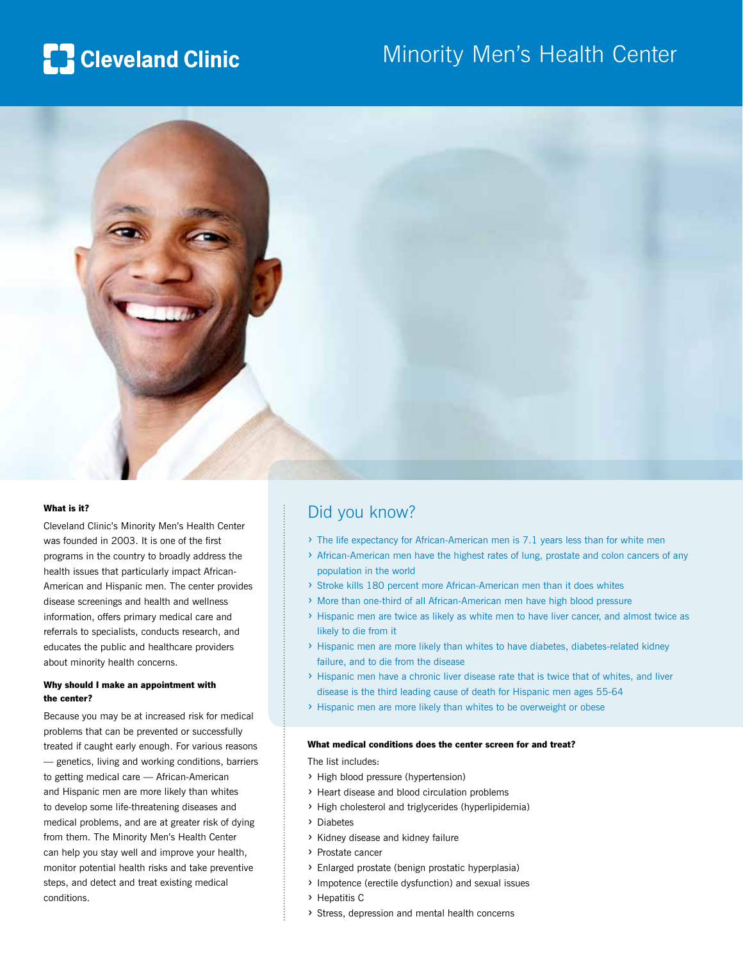# **[]** Cleveland Clinic

## Minority Men's Health Center



#### What is it?

Cleveland Clinic's Minority Men's Health Center was founded in 2003. It is one of the first programs in the country to broadly address the health issues that particularly impact African-American and Hispanic men. The center provides disease screenings and health and wellness information, offers primary medical care and referrals to specialists, conducts research, and educates the public and healthcare providers about minority health concerns.

#### Why should I make an appointment with the center?

Because you may be at increased risk for medical problems that can be prevented or successfully treated if caught early enough. For various reasons — genetics, living and working conditions, barriers to getting medical care — African-American and Hispanic men are more likely than whites to develop some life-threatening diseases and medical problems, and are at greater risk of dying from them. The Minority Men's Health Center can help you stay well and improve your health, monitor potential health risks and take preventive steps, and detect and treat existing medical conditions.

### Did you know?

- › The life expectancy for African-American men is 7.1 years less than for white men
- › African-American men have the highest rates of lung, prostate and colon cancers of any population in the world
- › Stroke kills 180 percent more African-American men than it does whites
- › More than one-third of all African-American men have high blood pressure
- › Hispanic men are twice as likely as white men to have liver cancer, and almost twice as likely to die from it
- › Hispanic men are more likely than whites to have diabetes, diabetes-related kidney failure, and to die from the disease
- › Hispanic men have a chronic liver disease rate that is twice that of whites, and liver disease is the third leading cause of death for Hispanic men ages 55-64
- › Hispanic men are more likely than whites to be overweight or obese

#### What medical conditions does the center screen for and treat?

The list includes:

- › High blood pressure (hypertension)
- › Heart disease and blood circulation problems
- › High cholesterol and triglycerides (hyperlipidemia)
- › Diabetes
- › Kidney disease and kidney failure
- › Prostate cancer
- › Enlarged prostate (benign prostatic hyperplasia)
- › Impotence (erectile dysfunction) and sexual issues
- › Hepatitis C
- › Stress, depression and mental health concerns